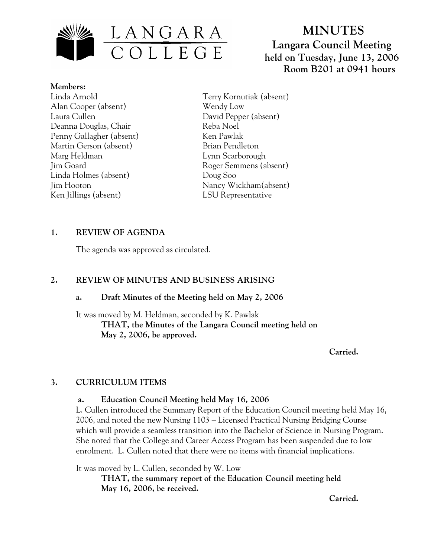

# **MINUTES Langara Council Meeting held on Tuesday, June 13, 2006 Room B201 at 0941 hours**

**Members:** Linda Arnold Alan Cooper (absent) Laura Cullen Deanna Douglas, Chair Penny Gallagher (absent) Martin Gerson (absent) Marg Heldman Jim Goard Linda Holmes (absent) Jim Hooton Ken Jillings (absent)

Terry Kornutiak (absent) Wendy Low David Pepper (absent) Reba Noel Ken Pawlak Brian Pendleton Lynn Scarborough Roger Semmens (absent) Doug Soo Nancy Wickham(absent) LSU Representative

## **1. REVIEW OF AGENDA**

The agenda was approved as circulated.

## **2. REVIEW OF MINUTES AND BUSINESS ARISING**

#### **a. Draft Minutes of the Meeting held on May 2, 2006**

It was moved by M. Heldman, seconded by K. Pawlak  **THAT, the Minutes of the Langara Council meeting held on May 2, 2006, be approved.** 

*Carried. Carried.* 

#### **3. CURRICULUM ITEMS**

#### **a. Education Council Meeting held May 16, 2006**

L. Cullen introduced the Summary Report of the Education Council meeting held May 16, 2006, and noted the new Nursing 1103 – Licensed Practical Nursing Bridging Course which will provide a seamless transition into the Bachelor of Science in Nursing Program. She noted that the College and Career Access Program has been suspended due to low enrolment. L. Cullen noted that there were no items with financial implications.

It was moved by L. Cullen, seconded by W. Low

**THAT, the summary report of the Education Council meeting held May 16, 2006, be received.** 

*Carried. Carried.*